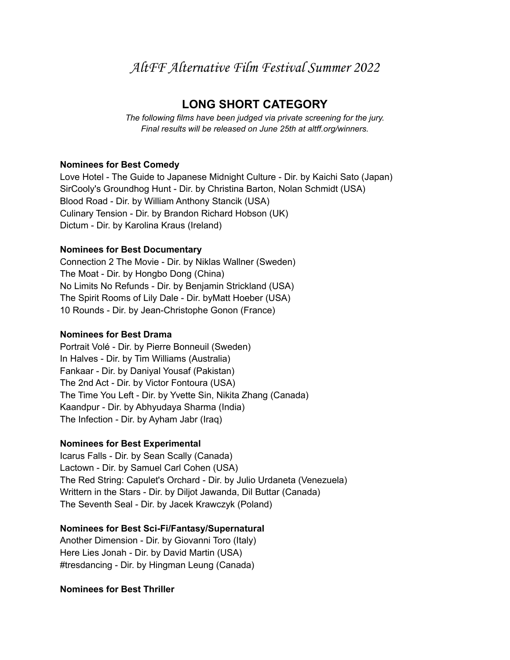# AltFF Alternative Film Festival Summer 2022

## **LONG SHORT CATEGORY**

*The following films have been judged via private screening for the jury. Final results will be released on June 25th at altff.org/winners.*

## **Nominees for Best Comedy**

Love Hotel - The Guide to Japanese Midnight Culture - Dir. by Kaichi Sato (Japan) SirCooly's Groundhog Hunt - Dir. by Christina Barton, Nolan Schmidt (USA) Blood Road - Dir. by William Anthony Stancik (USA) Culinary Tension - Dir. by Brandon Richard Hobson (UK) Dictum - Dir. by Karolina Kraus (Ireland)

## **Nominees for Best Documentary**

Connection 2 The Movie - Dir. by Niklas Wallner (Sweden) The Moat - Dir. by Hongbo Dong (China) No Limits No Refunds - Dir. by Benjamin Strickland (USA) The Spirit Rooms of Lily Dale - Dir. byMatt Hoeber (USA) 10 Rounds - Dir. by Jean-Christophe Gonon (France)

#### **Nominees for Best Drama**

Portrait Volé - Dir. by Pierre Bonneuil (Sweden) In Halves - Dir. by Tim Williams (Australia) Fankaar - Dir. by Daniyal Yousaf (Pakistan) The 2nd Act - Dir. by Victor Fontoura (USA) The Time You Left - Dir. by Yvette Sin, Nikita Zhang (Canada) Kaandpur - Dir. by Abhyudaya Sharma (India) The Infection - Dir. by Ayham Jabr (Iraq)

## **Nominees for Best Experimental**

Icarus Falls - Dir. by Sean Scally (Canada) Lactown - Dir. by Samuel Carl Cohen (USA) The Red String: Capulet's Orchard - Dir. by Julio Urdaneta (Venezuela) Writtern in the Stars - Dir. by Diljot Jawanda, Dil Buttar (Canada) The Seventh Seal - Dir. by Jacek Krawczyk (Poland)

## **Nominees for Best Sci-Fi/Fantasy/Supernatural**

Another Dimension - Dir. by Giovanni Toro (Italy) Here Lies Jonah - Dir. by David Martin (USA) #tresdancing - Dir. by Hingman Leung (Canada)

#### **Nominees for Best Thriller**